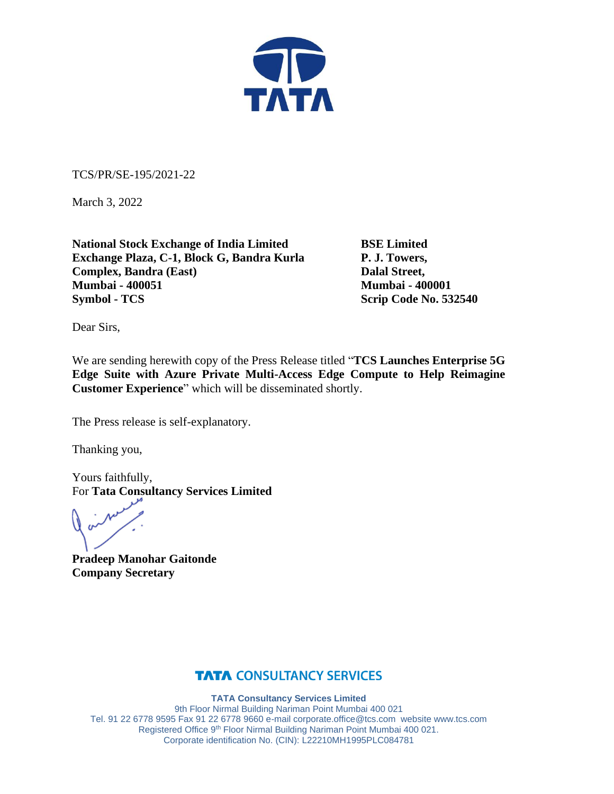

TCS/PR/SE-195/2021-22

March 3, 2022

**National Stock Exchange of India Limited BSE Limited Exchange Plaza, C-1, Block G, Bandra Kurla P. J. Towers, Complex, Bandra (East)** Dalal Street, **Mumbai - 400051 Mumbai - 400001 Symbol - TCS** Scrip Code No. 532540

Dear Sirs,

We are sending herewith copy of the Press Release titled "**TCS Launches Enterprise 5G Edge Suite with Azure Private Multi-Access Edge Compute to Help Reimagine Customer Experience**" which will be disseminated shortly.

The Press release is self-explanatory.

Thanking you,

Yours faithfully, For **Tata Consultancy Services Limited**

**Pradeep Manohar Gaitonde Company Secretary**

## **TATA CONSULTANCY SERVICES**

**TATA Consultancy Services Limited**

9th Floor Nirmal Building Nariman Point Mumbai 400 021 Tel. 91 22 6778 9595 Fax 91 22 6778 9660 e-mai[l corporate.office@tcs.com](mailto:corporate.office@tcs.com) website www.tcs.com Registered Office 9th Floor Nirmal Building Nariman Point Mumbai 400 021. Corporate identification No. (CIN): L22210MH1995PLC084781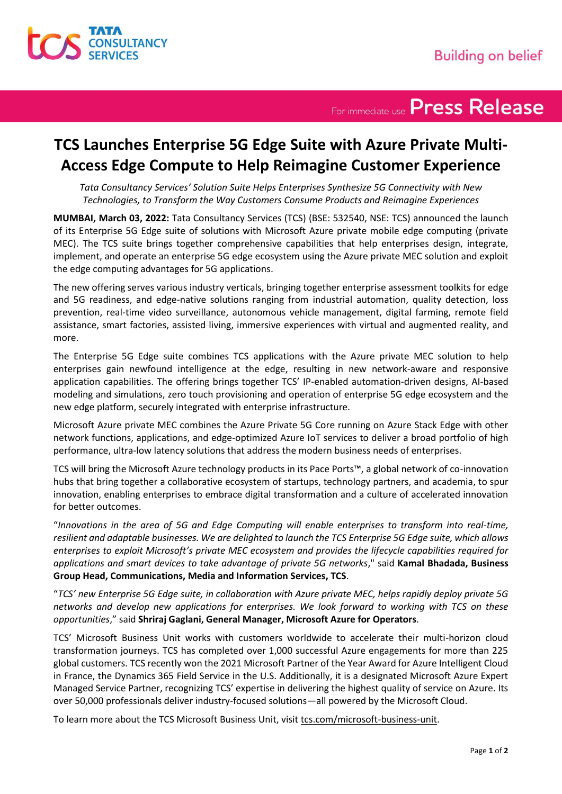

For immediate use Press Release

## **TCS Launches Enterprise 5G Edge Suite with Azure Private Multi-Access Edge Compute to Help Reimagine Customer Experience**

*Tata Consultancy Services' Solution Suite Helps Enterprises Synthesize 5G Connectivity with New Technologies, to Transform the Way Customers Consume Products and Reimagine Experiences*

**MUMBAI, March 03, 2022:** Tata Consultancy Services (TCS) (BSE: 532540, NSE: TCS) announced the launch of its Enterprise 5G Edge suite of solutions with Microsoft Azure private mobile edge computing (private MEC). The TCS suite brings together comprehensive capabilities that help enterprises design, integrate, implement, and operate an enterprise 5G edge ecosystem using the Azure private MEC solution and exploit the edge computing advantages for 5G applications.

The new offering serves various industry verticals, bringing together enterprise assessment toolkits for edge and 5G readiness, and edge-native solutions ranging from industrial automation, quality detection, loss prevention, real-time video surveillance, autonomous vehicle management, digital farming, remote field assistance, smart factories, assisted living, immersive experiences with virtual and augmented reality, and more.

The Enterprise 5G Edge suite combines TCS applications with the Azure private MEC solution to help enterprises gain newfound intelligence at the edge, resulting in new network-aware and responsive application capabilities. The offering brings together TCS' IP-enabled automation-driven designs, AI-based modeling and simulations, zero touch provisioning and operation of enterprise 5G edge ecosystem and the new edge platform, securely integrated with enterprise infrastructure.

Microsoft Azure private MEC combines the Azure Private 5G Core running on Azure Stack Edge with other network functions, applications, and edge-optimized Azure IoT services to deliver a broad portfolio of high performance, ultra-low latency solutions that address the modern business needs of enterprises.

TCS will bring the Microsoft Azure technology products in its Pace Ports™, a global network of co-innovation hubs that bring together a collaborative ecosystem of startups, technology partners, and academia, to spur innovation, enabling enterprises to embrace digital transformation and a culture of accelerated innovation for better outcomes.

"*Innovations in the area of 5G and Edge Computing will enable enterprises to transform into real-time, resilient and adaptable businesses. We are delighted to launch the TCS Enterprise 5G Edge suite, which allows enterprises to exploit Microsoft's private MEC ecosystem and provides the lifecycle capabilities required for applications and smart devices to take advantage of private 5G networks*," said **Kamal Bhadada, Business Group Head, Communications, Media and Information Services, TCS**.

"*TCS' new Enterprise 5G Edge suite, in collaboration with Azure private MEC, helps rapidly deploy private 5G networks and develop new applications for enterprises. We look forward to working with TCS on these opportunities*," said **Shriraj Gaglani, General Manager, Microsoft Azure for Operators**.

TCS' Microsoft Business Unit works with customers worldwide to accelerate their multi-horizon cloud transformation journeys. TCS has completed over 1,000 successful Azure engagements for more than 225 global customers. TCS recently won the 2021 Microsoft Partner of the Year Award for Azure Intelligent Cloud in France, the Dynamics 365 Field Service in the U.S. Additionally, it is a designated Microsoft Azure Expert Managed Service Partner, recognizing TCS' expertise in delivering the highest quality of service on Azure. Its over 50,000 professionals deliver industry-focused solutions—all powered by the Microsoft Cloud.

To learn more about the TCS Microsoft Business Unit, visit tcs.com/microsoft-business-unit.